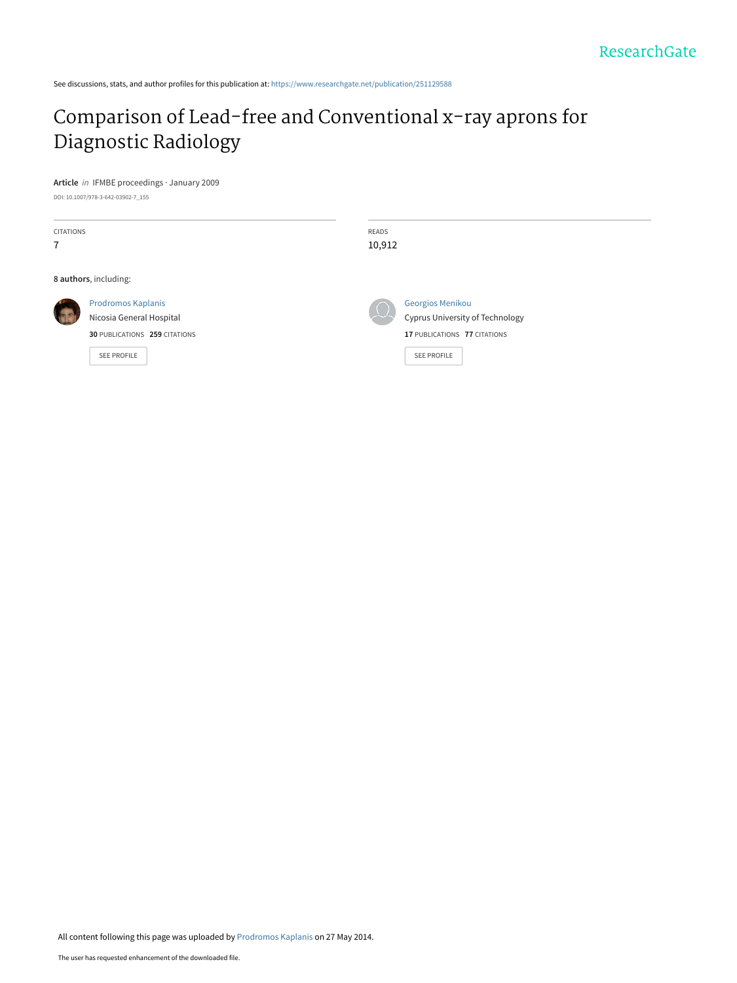See discussions, stats, and author profiles for this publication at: [https://www.researchgate.net/publication/251129588](https://www.researchgate.net/publication/251129588_Comparison_of_Lead-free_and_Conventional_x-ray_aprons_for_Diagnostic_Radiology?enrichId=rgreq-a1cc2cc68da6fa5e7a988f988f9b405f-XXX&enrichSource=Y292ZXJQYWdlOzI1MTEyOTU4ODtBUzoxMDEzMzk0MTc4MDg4OTZAMTQwMTE3MjYwODIyNw%3D%3D&el=1_x_2&_esc=publicationCoverPdf)

#### [Comparison of Lead-free and Conventional x-ray aprons for](https://www.researchgate.net/publication/251129588_Comparison_of_Lead-free_and_Conventional_x-ray_aprons_for_Diagnostic_Radiology?enrichId=rgreq-a1cc2cc68da6fa5e7a988f988f9b405f-XXX&enrichSource=Y292ZXJQYWdlOzI1MTEyOTU4ODtBUzoxMDEzMzk0MTc4MDg4OTZAMTQwMTE3MjYwODIyNw%3D%3D&el=1_x_3&_esc=publicationCoverPdf) Diagnostic Radiology

**Article** in IFMBE proceedings · January 2009 DOI: 10.1007/978-3-642-03902-7\_155

| <b>CITATIONS</b><br>7 |                                                                                                       | <b>READS</b><br>10,912                                                                                    |
|-----------------------|-------------------------------------------------------------------------------------------------------|-----------------------------------------------------------------------------------------------------------|
|                       | 8 authors, including:                                                                                 |                                                                                                           |
|                       | <b>Prodromos Kaplanis</b><br>Nicosia General Hospital<br>30 PUBLICATIONS 259 CITATIONS<br>SEE PROFILE | Georgios Menikou<br>Cyprus University of Technology<br>17 PUBLICATIONS 77 CITATIONS<br><b>SEE PROFILE</b> |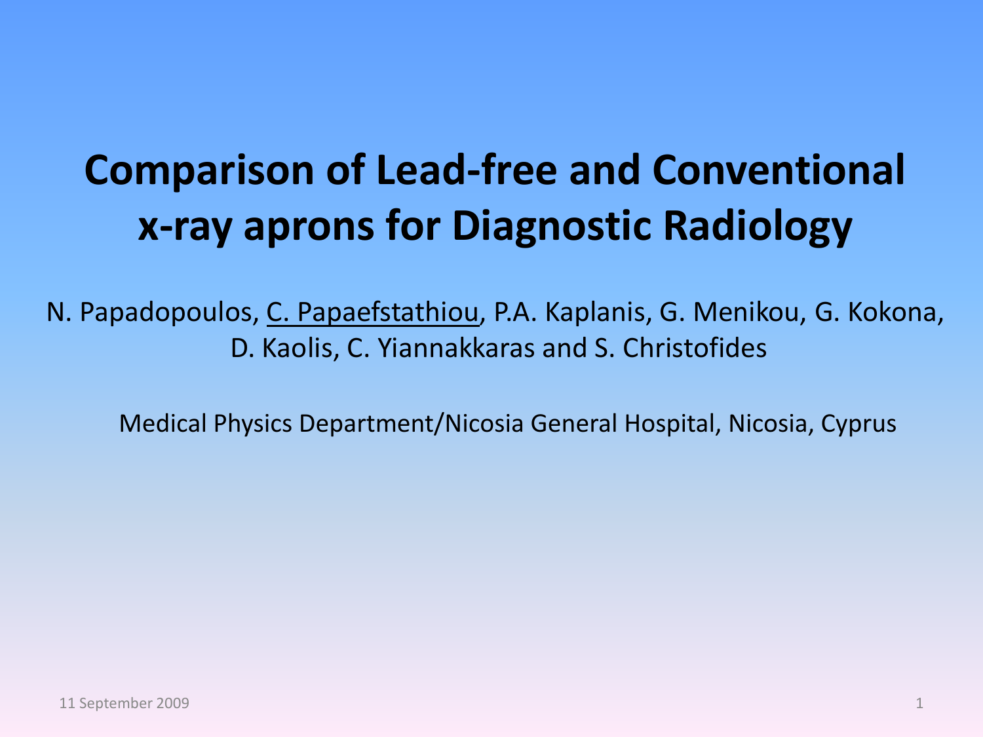#### **Comparison of Lead-free and Conventional x-ray aprons for Diagnostic Radiology**

N. Papadopoulos, C. Papaefstathiou, P.A. Kaplanis, G. Menikou, G. Kokona, D. Kaolis, C. Yiannakkaras and S. Christofides

Medical Physics Department/Nicosia General Hospital, Nicosia, Cyprus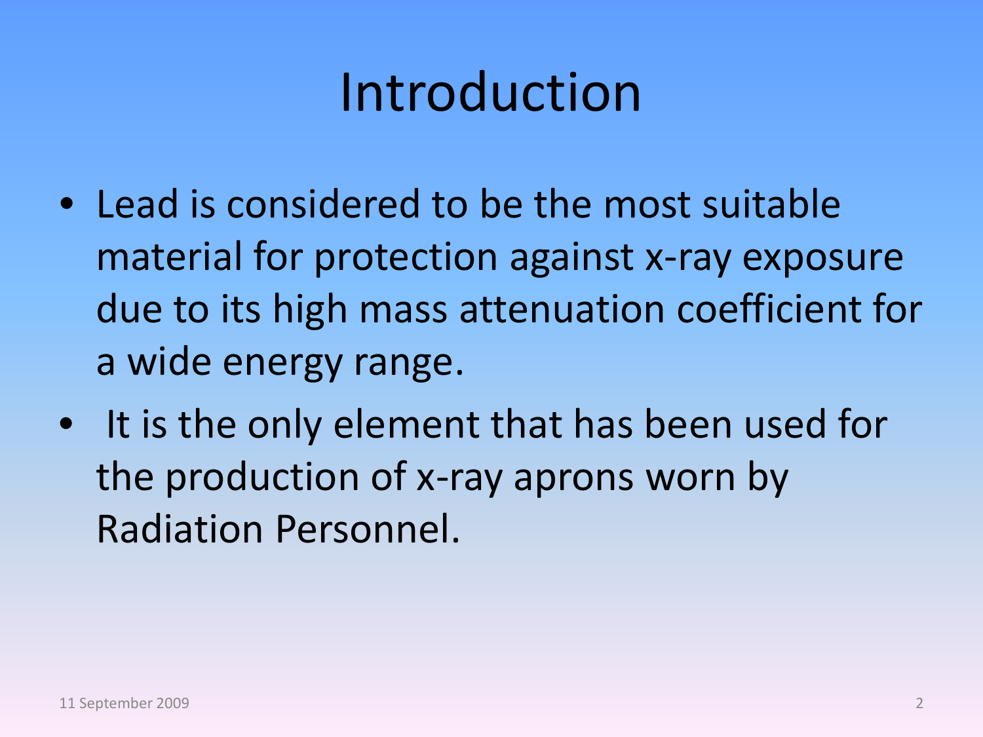## Introduction

- Lead is considered to be the most suitable material for protection against x-ray exposure due to its high mass attenuation coefficient for a wide energy range.
- It is the only element that has been used for the production of x-ray aprons worn by Radiation Personnel.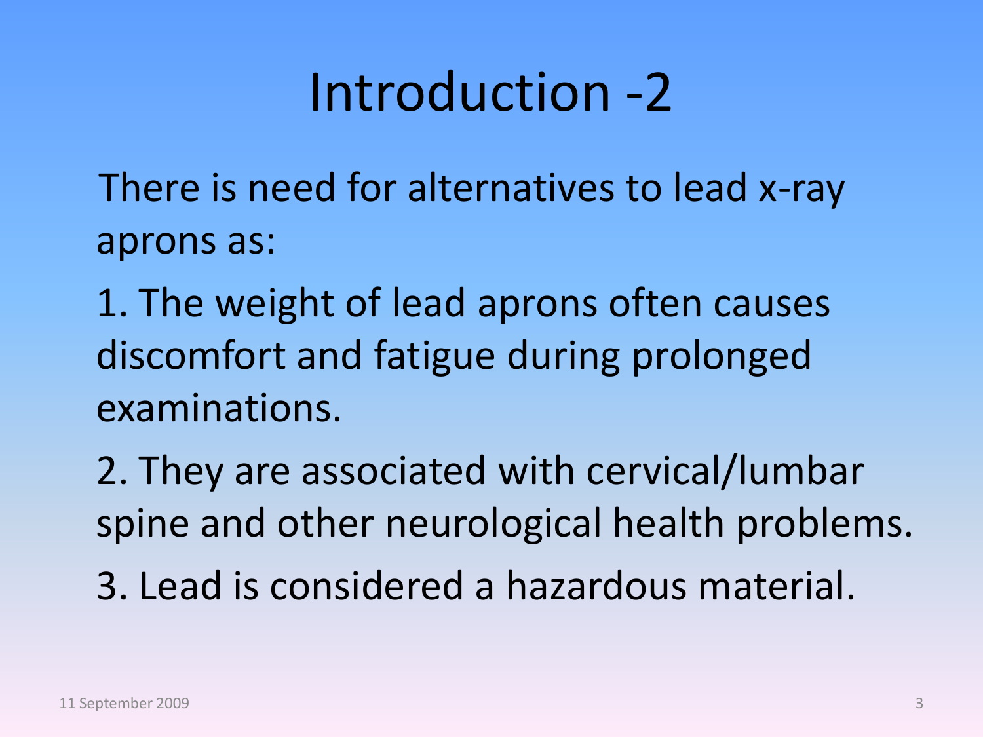### Introduction -2

There is need for alternatives to lead x-ray aprons as:

1. The weight of lead aprons often causes discomfort and fatigue during prolonged examinations.

2. They are associated with cervical/lumbar spine and other neurological health problems.

3. Lead is considered a hazardous material.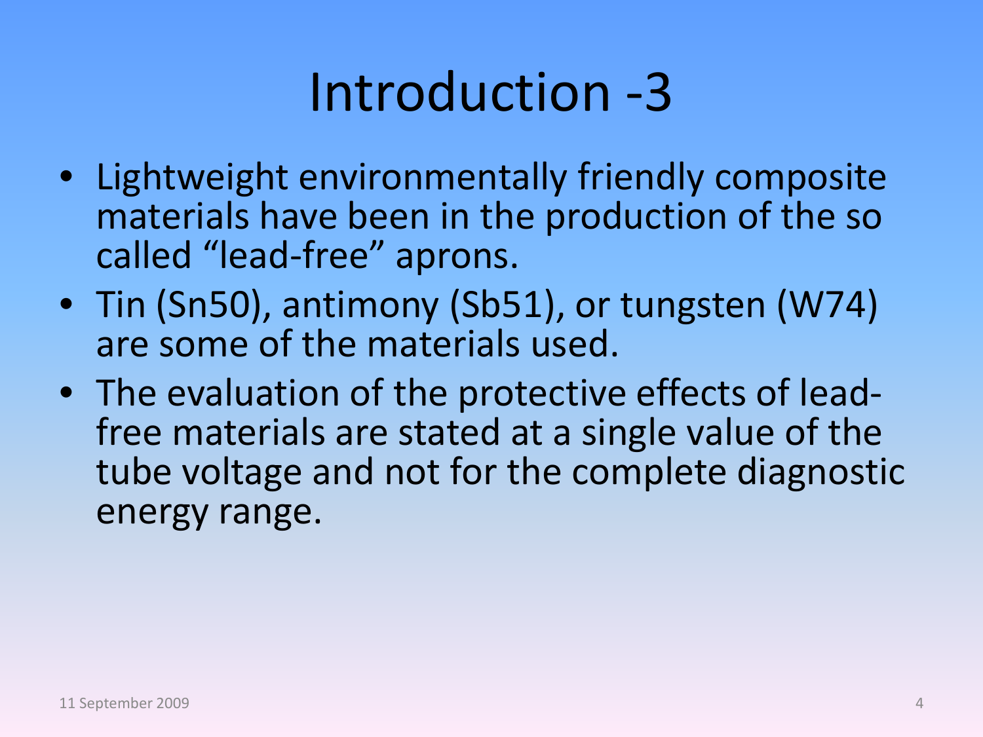## Introduction -3

- Lightweight environmentally friendly composite materials have been in the production of the so called "lead-free" aprons.
- Tin (Sn50), antimony (Sb51), or tungsten (W74) are some of the materials used.
- The evaluation of the protective effects of lead- free materials are stated at a single value of the tube voltage and not for the complete diagnostic energy range.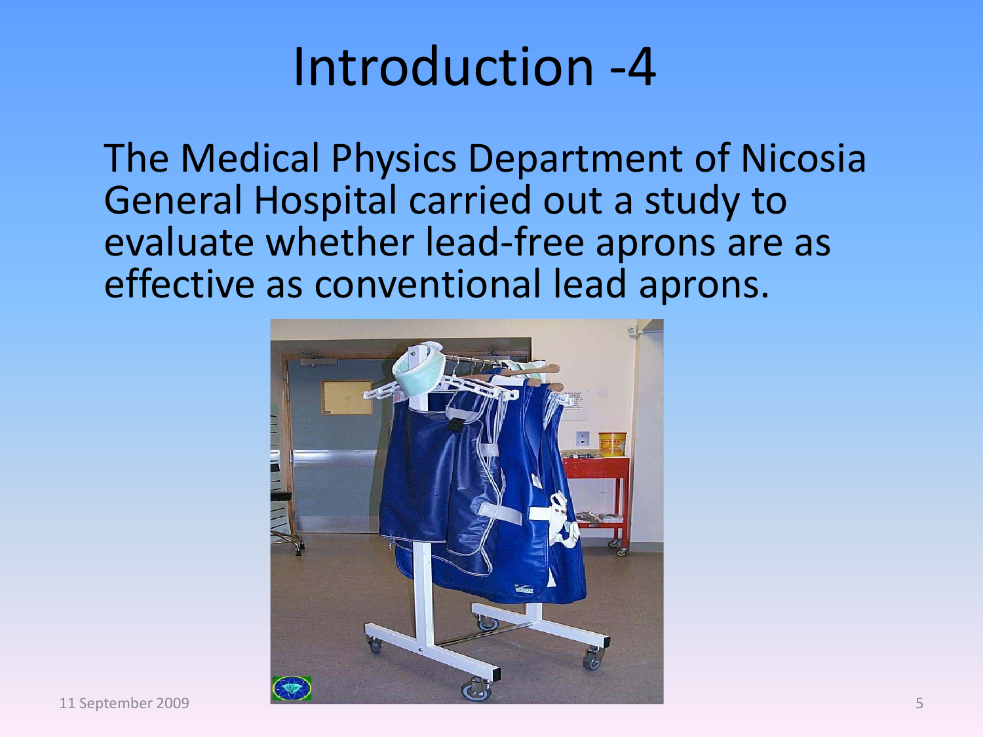#### Introduction -4

The Medical Physics Department of Nicosia General Hospital carried out a study to evaluate whether lead-free aprons are as effective as conventional lead aprons.

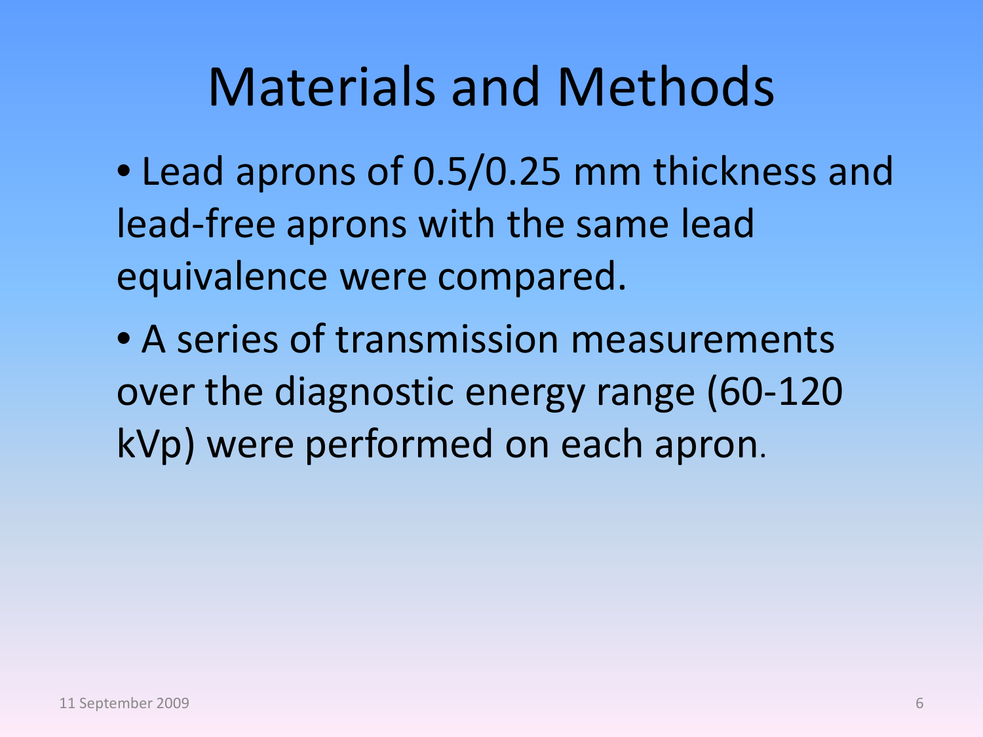#### Materials and Methods

- Lead aprons of 0.5/0.25 mm thickness and lead-free aprons with the same lead equivalence were compared.
- A series of transmission measurements over the diagnostic energy range (60-120 kVp) were performed on each apron.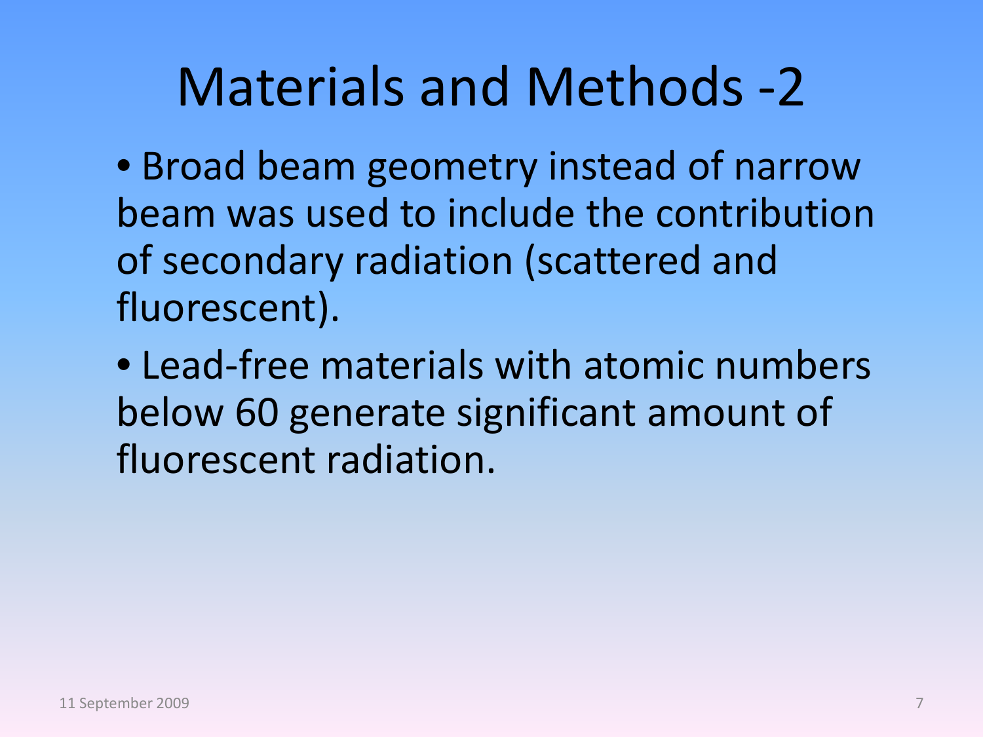#### Materials and Methods -2

• Broad beam geometry instead of narrow beam was used to include the contribution of secondary radiation (scattered and fluorescent).

• Lead-free materials with atomic numbers below 60 generate significant amount of fluorescent radiation.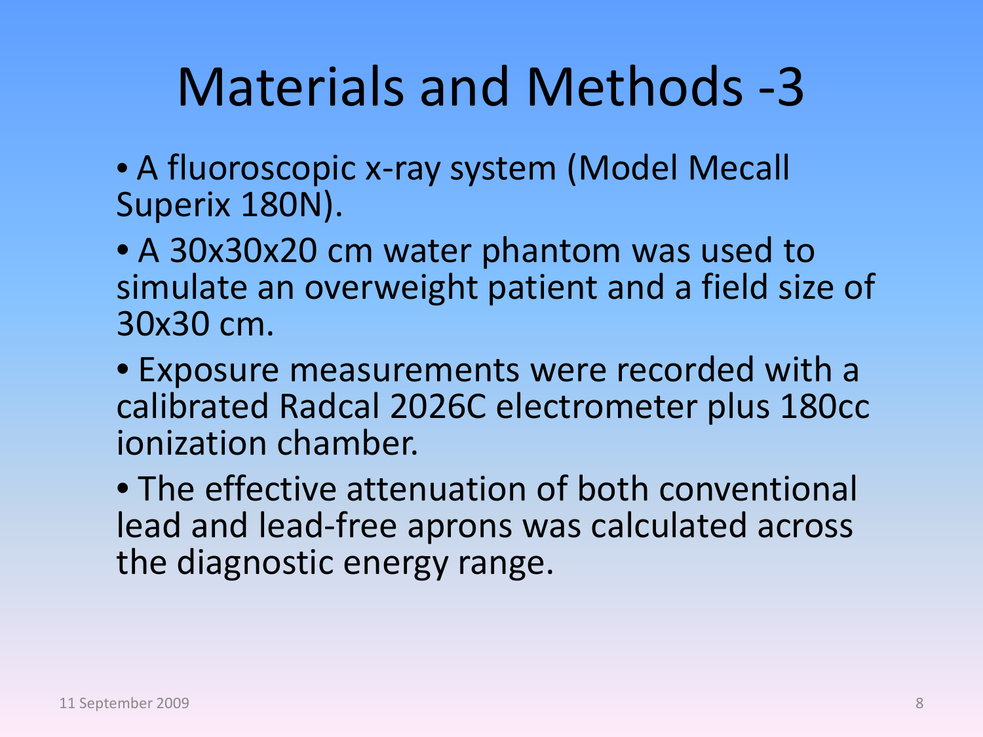## Materials and Methods -3

• A fluoroscopic x-ray system (Model Mecall Superix 180N).

• A 30x30x20 cm water phantom was used to simulate an overweight patient and a field size of 30x30 cm.

• Exposure measurements were recorded with a calibrated Radcal 2026C electrometer plus 180cc ionization chamber.

• The effective attenuation of both conventional lead and lead-free aprons was calculated across the diagnostic energy range.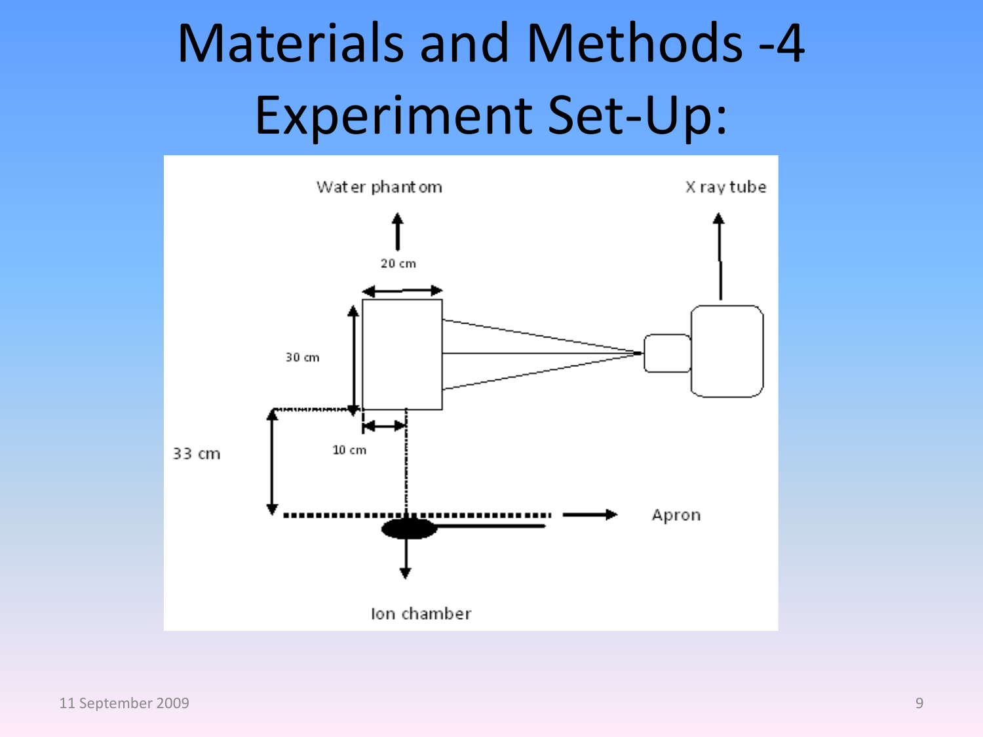# Materials and Methods -4 Experiment Set-Up:

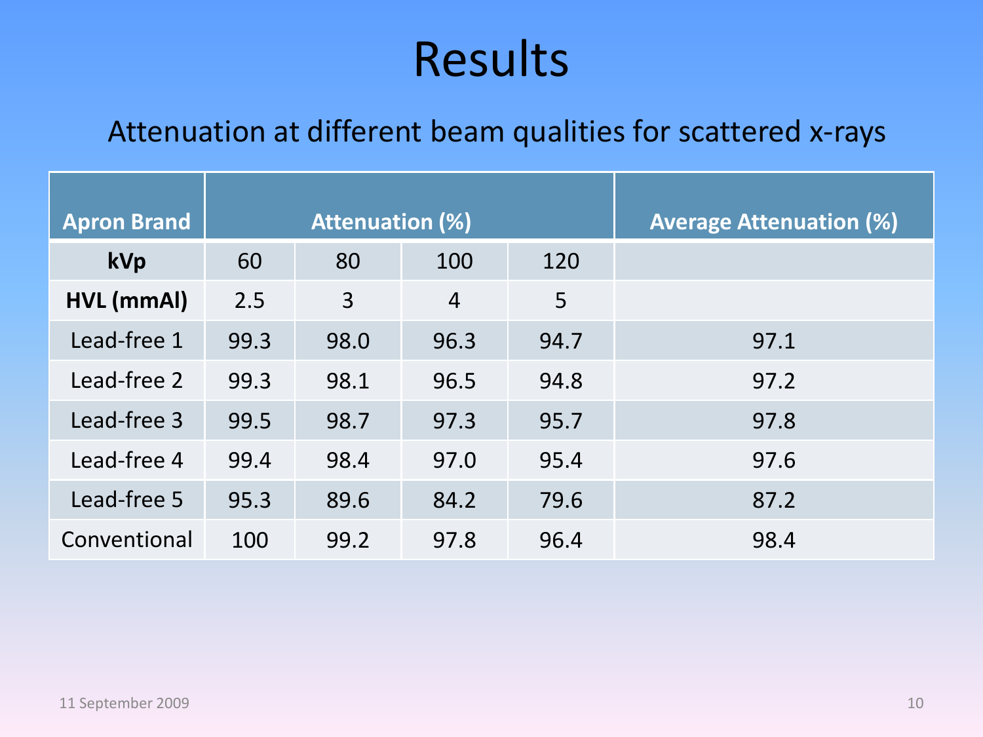#### Results

#### Attenuation at different beam qualities for scattered x-rays

| <b>Apron Brand</b> | <b>Attenuation (%)</b> |      |                |      | <b>Average Attenuation (%)</b> |
|--------------------|------------------------|------|----------------|------|--------------------------------|
| kVp                | 60                     | 80   | 100            | 120  |                                |
| HVL (mmAl)         | 2.5                    | 3    | $\overline{4}$ | 5    |                                |
| Lead-free 1        | 99.3                   | 98.0 | 96.3           | 94.7 | 97.1                           |
| Lead-free 2        | 99.3                   | 98.1 | 96.5           | 94.8 | 97.2                           |
| Lead-free 3        | 99.5                   | 98.7 | 97.3           | 95.7 | 97.8                           |
| Lead-free 4        | 99.4                   | 98.4 | 97.0           | 95.4 | 97.6                           |
| Lead-free 5        | 95.3                   | 89.6 | 84.2           | 79.6 | 87.2                           |
| Conventional       | 100                    | 99.2 | 97.8           | 96.4 | 98.4                           |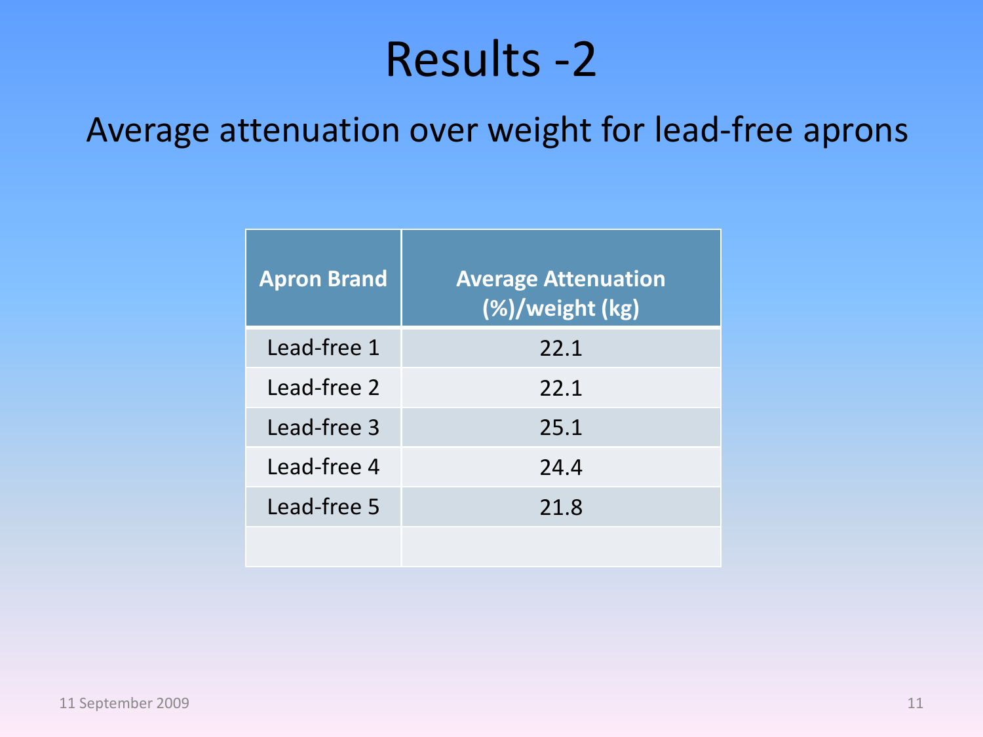#### Results -2

#### Average attenuation over weight for lead-free aprons

| <b>Apron Brand</b> | <b>Average Attenuation</b><br>(%)/weight (kg) |
|--------------------|-----------------------------------------------|
| Lead-free 1        | 22.1                                          |
| Lead-free 2        | 22.1                                          |
| Lead-free 3        | 25.1                                          |
| Lead-free 4        | 24.4                                          |
| Lead-free 5        | 21.8                                          |
|                    |                                               |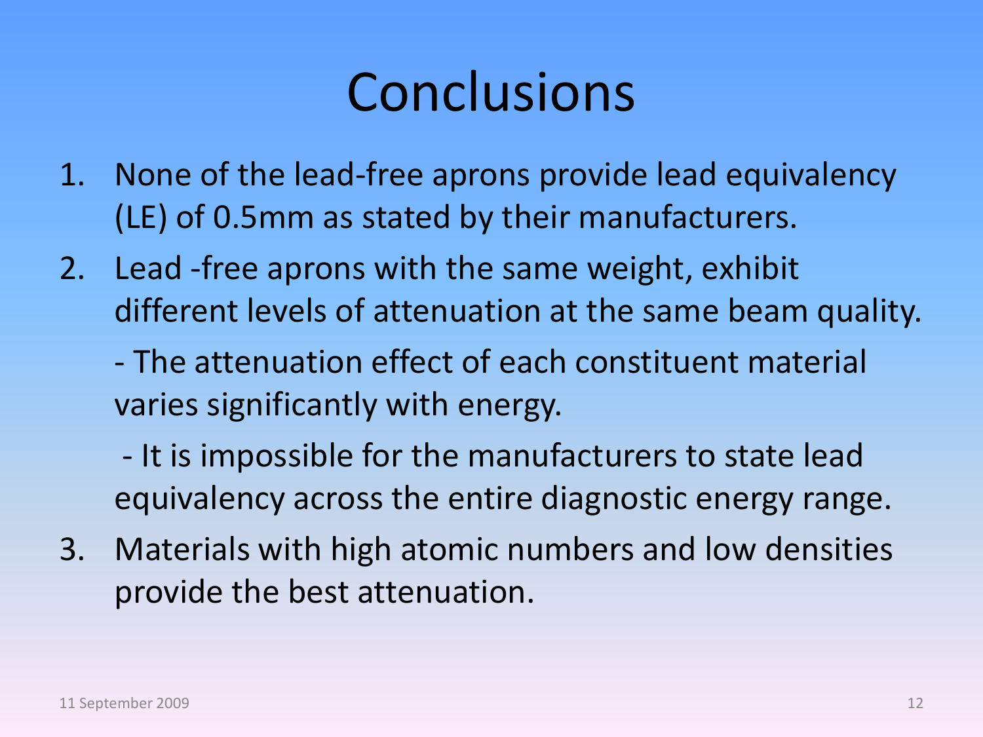## Conclusions

- 1. None of the lead-free aprons provide lead equivalency (LE) of 0.5mm as stated by their manufacturers.
- 2. Lead -free aprons with the same weight, exhibit different levels of attenuation at the same beam quality.
	- The attenuation effect of each constituent material varies significantly with energy.
	- It is impossible for the manufacturers to state lead equivalency across the entire diagnostic energy range.
- 3. Materials with high atomic numbers and low densities provide the best attenuation.